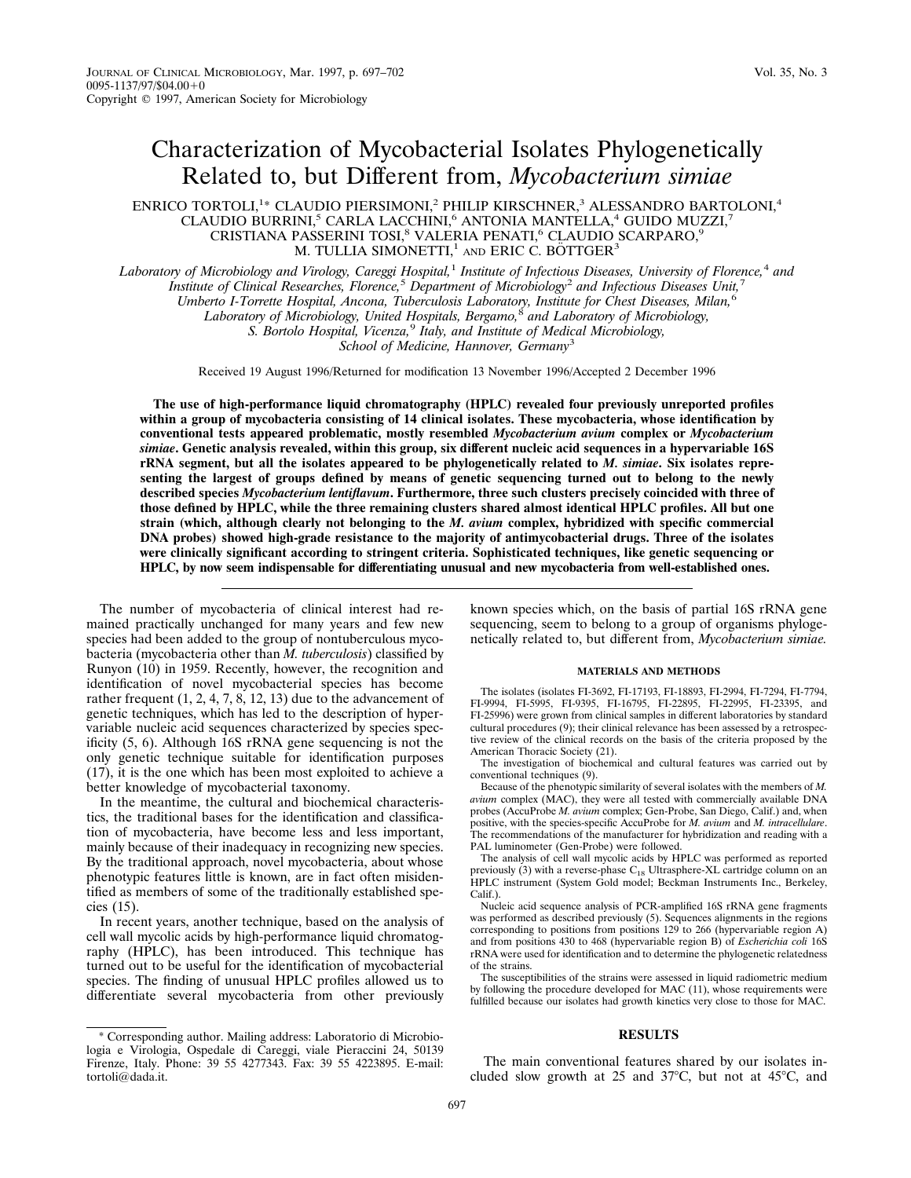# Characterization of Mycobacterial Isolates Phylogenetically Related to, but Different from, *Mycobacterium simiae*

# ENRICO TORTOLI,<sup>1</sup>\* CLAUDIO PIERSIMONI,<sup>2</sup> PHILIP KIRSCHNER,<sup>3</sup> ALESSANDRO BARTOLONI,<sup>4</sup> CLAUDIO BURRINI,<sup>5</sup> CARLA LACCHINI,<sup>6</sup> ANTONIA MANTELLA,<sup>4</sup> GUIDO MUZZI,<sup>7</sup> CRISTIANA PASSERINI TOSI,<sup>8</sup> VALERIA PENATI,<sup>6</sup> CLAUDIO SCARPARO,<sup>9</sup> M. TULLIA SIMONETTI,<sup>1</sup> AND ERIC C. BÖTTGER<sup>3</sup>

*Laboratory of Microbiology and Virology, Careggi Hospital,*<sup>1</sup> *Institute of Infectious Diseases, University of Florence,*<sup>4</sup> *and Institute of Clinical Researches, Florence,*<sup>5</sup> *Department of Microbiology*<sup>2</sup> *and Infectious Diseases Unit,*<sup>7</sup> *Umberto I-Torrette Hospital, Ancona, Tuberculosis Laboratory, Institute for Chest Diseases, Milan,*<sup>6</sup> *Laboratory of Microbiology, United Hospitals, Bergamo,*<sup>8</sup> *and Laboratory of Microbiology, S. Bortolo Hospital, Vicenza,*<sup>9</sup> *Italy, and Institute of Medical Microbiology,*

*School of Medicine, Hannover, Germany*<sup>3</sup>

Received 19 August 1996/Returned for modification 13 November 1996/Accepted 2 December 1996

**The use of high-performance liquid chromatography (HPLC) revealed four previously unreported profiles within a group of mycobacteria consisting of 14 clinical isolates. These mycobacteria, whose identification by conventional tests appeared problematic, mostly resembled** *Mycobacterium avium* **complex or** *Mycobacterium simiae***. Genetic analysis revealed, within this group, six different nucleic acid sequences in a hypervariable 16S rRNA segment, but all the isolates appeared to be phylogenetically related to** *M. simiae***. Six isolates representing the largest of groups defined by means of genetic sequencing turned out to belong to the newly described species** *Mycobacterium lentiflavum***. Furthermore, three such clusters precisely coincided with three of those defined by HPLC, while the three remaining clusters shared almost identical HPLC profiles. All but one strain (which, although clearly not belonging to the** *M. avium* **complex, hybridized with specific commercial DNA probes) showed high-grade resistance to the majority of antimycobacterial drugs. Three of the isolates were clinically significant according to stringent criteria. Sophisticated techniques, like genetic sequencing or HPLC, by now seem indispensable for differentiating unusual and new mycobacteria from well-established ones.**

The number of mycobacteria of clinical interest had remained practically unchanged for many years and few new species had been added to the group of nontuberculous mycobacteria (mycobacteria other than *M. tuberculosis*) classified by Runyon (10) in 1959. Recently, however, the recognition and identification of novel mycobacterial species has become rather frequent (1, 2, 4, 7, 8, 12, 13) due to the advancement of genetic techniques, which has led to the description of hypervariable nucleic acid sequences characterized by species specificity (5, 6). Although 16S rRNA gene sequencing is not the only genetic technique suitable for identification purposes (17), it is the one which has been most exploited to achieve a better knowledge of mycobacterial taxonomy.

In the meantime, the cultural and biochemical characteristics, the traditional bases for the identification and classification of mycobacteria, have become less and less important, mainly because of their inadequacy in recognizing new species. By the traditional approach, novel mycobacteria, about whose phenotypic features little is known, are in fact often misidentified as members of some of the traditionally established species (15).

In recent years, another technique, based on the analysis of cell wall mycolic acids by high-performance liquid chromatography (HPLC), has been introduced. This technique has turned out to be useful for the identification of mycobacterial species. The finding of unusual HPLC profiles allowed us to differentiate several mycobacteria from other previously

\* Corresponding author. Mailing address: Laboratorio di Microbiologia e Virologia, Ospedale di Careggi, viale Pieraccini 24, 50139 Firenze, Italy. Phone: 39 55 4277343. Fax: 39 55 4223895. E-mail: tortoli@dada.it.

known species which, on the basis of partial 16S rRNA gene sequencing, seem to belong to a group of organisms phylogenetically related to, but different from, *Mycobacterium simiae.*

#### **MATERIALS AND METHODS**

The isolates (isolates FI-3692, FI-17193, FI-18893, FI-2994, FI-7294, FI-7794, FI-9994, FI-5995, FI-9395, FI-16795, FI-22895, FI-22995, FI-23395, and FI-25996) were grown from clinical samples in different laboratories by standard cultural procedures (9); their clinical relevance has been assessed by a retrospective review of the clinical records on the basis of the criteria proposed by the American Thoracic Society (21).

The investigation of biochemical and cultural features was carried out by conventional techniques (9).

Because of the phenotypic similarity of several isolates with the members of *M. avium* complex (MAC), they were all tested with commercially available DNA probes (AccuProbe *M. avium* complex; Gen-Probe, San Diego, Calif.) and, when positive, with the species-specific AccuProbe for *M. avium* and *M. intracellulare*. The recommendations of the manufacturer for hybridization and reading with a PAL luminometer (Gen-Probe) were followed.

The analysis of cell wall mycolic acids by HPLC was performed as reported previously (3) with a reverse-phase  $C_{18}$  Ultrasphere-XL cartridge column on an HPLC instrument (System Gold model; Beckman Instruments Inc., Berkeley, Calif.).

Nucleic acid sequence analysis of PCR-amplified 16S rRNA gene fragments was performed as described previously (5). Sequences alignments in the regions corresponding to positions from positions 129 to 266 (hypervariable region A) and from positions 430 to 468 (hypervariable region B) of *Escherichia coli* 16S rRNA were used for identification and to determine the phylogenetic relatedness of the strains.

The susceptibilities of the strains were assessed in liquid radiometric medium by following the procedure developed for MAC  $(11)$ , whose requirements were fulfilled because our isolates had growth kinetics very close to those for MAC.

#### **RESULTS**

The main conventional features shared by our isolates included slow growth at  $25$  and  $37^{\circ}$ C, but not at  $45^{\circ}$ C, and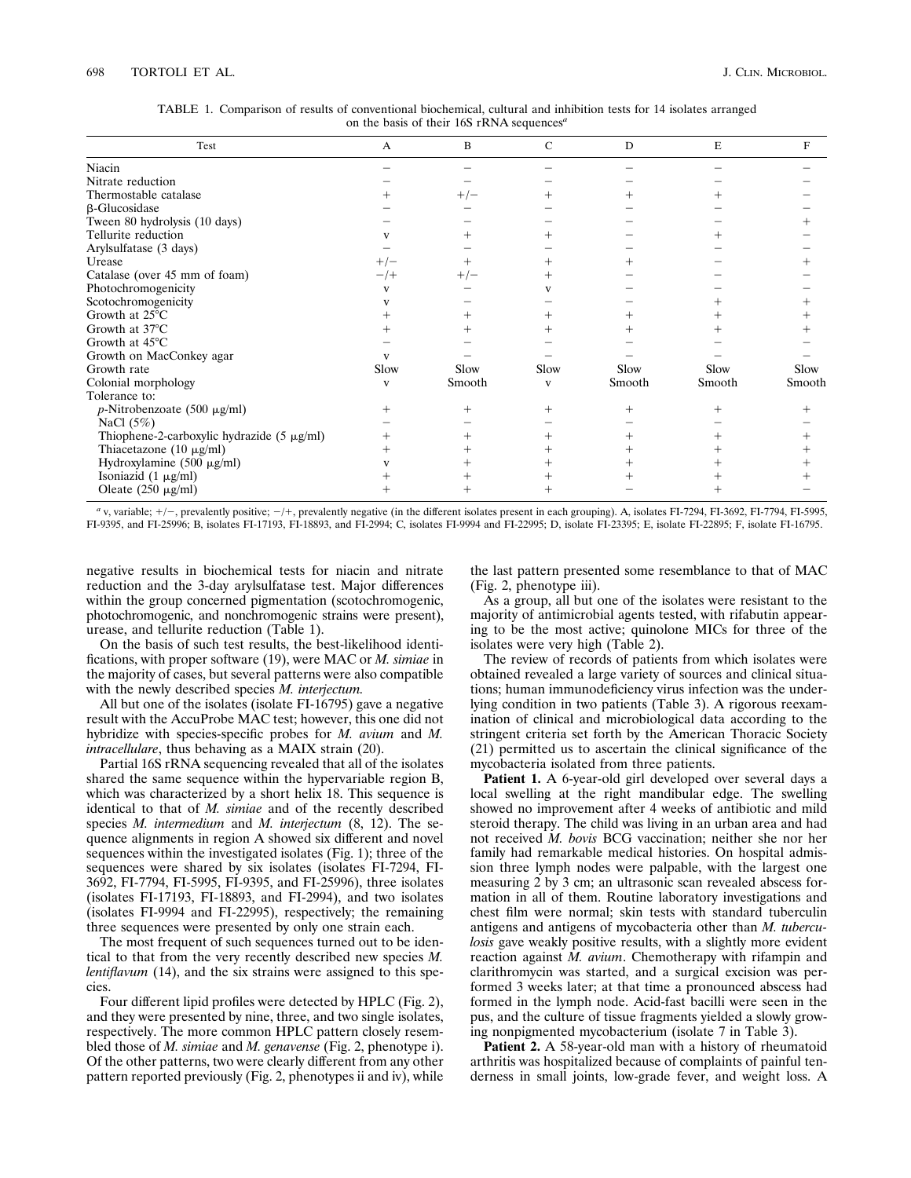## 698 TORTOLI ET AL. J. CLIN. MICROBIOL.

| Test                                            | $\mathbf{A}$ | B      | $\mathsf{C}$ | D      | E      | F      |  |
|-------------------------------------------------|--------------|--------|--------------|--------|--------|--------|--|
| Niacin                                          |              |        |              |        |        |        |  |
| Nitrate reduction                               |              |        |              |        |        |        |  |
| Thermostable catalase                           |              | $+/-$  |              |        |        |        |  |
| <b>B-Glucosidase</b>                            |              |        |              |        |        |        |  |
| Tween 80 hydrolysis (10 days)                   |              |        |              |        |        |        |  |
| Tellurite reduction                             |              |        |              |        |        |        |  |
| Arylsulfatase (3 days)                          |              |        |              |        |        |        |  |
| Urease                                          | $+/-$        |        |              |        |        |        |  |
| Catalase (over 45 mm of foam)                   | $-$ /+       | $+/-$  |              |        |        |        |  |
| Photochromogenicity                             | v            |        |              |        |        |        |  |
| Scotochromogenicity                             |              |        |              |        |        |        |  |
| Growth at 25°C                                  |              |        | $\! +$       |        |        |        |  |
| Growth at 37°C                                  |              |        |              |        |        |        |  |
| Growth at $45^{\circ}$ C                        |              |        |              |        |        |        |  |
| Growth on MacConkey agar                        | v            |        |              |        |        |        |  |
| Growth rate                                     | Slow         | Slow   | Slow         | Slow   | Slow   | Slow   |  |
| Colonial morphology                             | V            | Smooth | V            | Smooth | Smooth | Smooth |  |
| Tolerance to:                                   |              |        |              |        |        |        |  |
| $p$ -Nitrobenzoate (500 µg/ml)                  | $^+$         | $^+$   | $^+$         | $^{+}$ |        |        |  |
| NaCl $(5\%)$                                    |              |        |              |        |        |        |  |
| Thiophene-2-carboxylic hydrazide $(5 \mu g/ml)$ | +            |        | ┿            | $^{+}$ |        |        |  |
| Thiacetazone $(10 \mu g/ml)$                    | $^+$         |        | $^+$         | $^+$   |        |        |  |
| Hydroxylamine $(500 \mu g/ml)$                  |              |        |              |        |        |        |  |
| Isoniazid (1 μg/ml)                             |              |        |              |        |        |        |  |
| Oleate $(250 \text{ µg/ml})$                    |              | $^+$   |              |        |        |        |  |

TABLE 1. Comparison of results of conventional biochemical, cultural and inhibition tests for 14 isolates arranged on the basis of their 16S rRNA sequences*<sup>a</sup>*

*a* v, variable;  $+/-$ , prevalently positive;  $-/+$ , prevalently negative (in the different isolates present in each grouping). A, isolates FI-7294, FI-3692, FI-7794, FI-5995, FI-9395, and FI-25996; B, isolates FI-17193, FI-18893, and FI-2994; C, isolates FI-9994 and FI-22995; D, isolate FI-23395; E, isolate FI-22895; F, isolate FI-16795.

negative results in biochemical tests for niacin and nitrate reduction and the 3-day arylsulfatase test. Major differences within the group concerned pigmentation (scotochromogenic, photochromogenic, and nonchromogenic strains were present), urease, and tellurite reduction (Table 1).

On the basis of such test results, the best-likelihood identifications, with proper software (19), were MAC or *M. simiae* in the majority of cases, but several patterns were also compatible with the newly described species *M. interjectum.*

All but one of the isolates (isolate FI-16795) gave a negative result with the AccuProbe MAC test; however, this one did not hybridize with species-specific probes for *M. avium* and *M. intracellulare*, thus behaving as a MAIX strain (20).

Partial 16S rRNA sequencing revealed that all of the isolates shared the same sequence within the hypervariable region B, which was characterized by a short helix 18. This sequence is identical to that of *M. simiae* and of the recently described species *M. intermedium* and *M. interjectum* (8, 12). The sequence alignments in region A showed six different and novel sequences within the investigated isolates (Fig. 1); three of the sequences were shared by six isolates (isolates FI-7294, FI-3692, FI-7794, FI-5995, FI-9395, and FI-25996), three isolates (isolates FI-17193, FI-18893, and FI-2994), and two isolates (isolates FI-9994 and FI-22995), respectively; the remaining three sequences were presented by only one strain each.

The most frequent of such sequences turned out to be identical to that from the very recently described new species *M. lentiflavum* (14), and the six strains were assigned to this species.

Four different lipid profiles were detected by HPLC (Fig. 2), and they were presented by nine, three, and two single isolates, respectively. The more common HPLC pattern closely resembled those of *M. simiae* and *M. genavense* (Fig. 2, phenotype i). Of the other patterns, two were clearly different from any other pattern reported previously (Fig. 2, phenotypes ii and iv), while

the last pattern presented some resemblance to that of MAC (Fig. 2, phenotype iii).

As a group, all but one of the isolates were resistant to the majority of antimicrobial agents tested, with rifabutin appearing to be the most active; quinolone MICs for three of the isolates were very high (Table 2).

The review of records of patients from which isolates were obtained revealed a large variety of sources and clinical situations; human immunodeficiency virus infection was the underlying condition in two patients (Table 3). A rigorous reexamination of clinical and microbiological data according to the stringent criteria set forth by the American Thoracic Society (21) permitted us to ascertain the clinical significance of the mycobacteria isolated from three patients.

Patient 1. A 6-year-old girl developed over several days a local swelling at the right mandibular edge. The swelling showed no improvement after 4 weeks of antibiotic and mild steroid therapy. The child was living in an urban area and had not received *M. bovis* BCG vaccination; neither she nor her family had remarkable medical histories. On hospital admission three lymph nodes were palpable, with the largest one measuring 2 by 3 cm; an ultrasonic scan revealed abscess formation in all of them. Routine laboratory investigations and chest film were normal; skin tests with standard tuberculin antigens and antigens of mycobacteria other than *M. tuberculosis* gave weakly positive results, with a slightly more evident reaction against *M. avium*. Chemotherapy with rifampin and clarithromycin was started, and a surgical excision was performed 3 weeks later; at that time a pronounced abscess had formed in the lymph node. Acid-fast bacilli were seen in the pus, and the culture of tissue fragments yielded a slowly growing nonpigmented mycobacterium (isolate 7 in Table 3).

**Patient 2.** A 58-year-old man with a history of rheumatoid arthritis was hospitalized because of complaints of painful tenderness in small joints, low-grade fever, and weight loss. A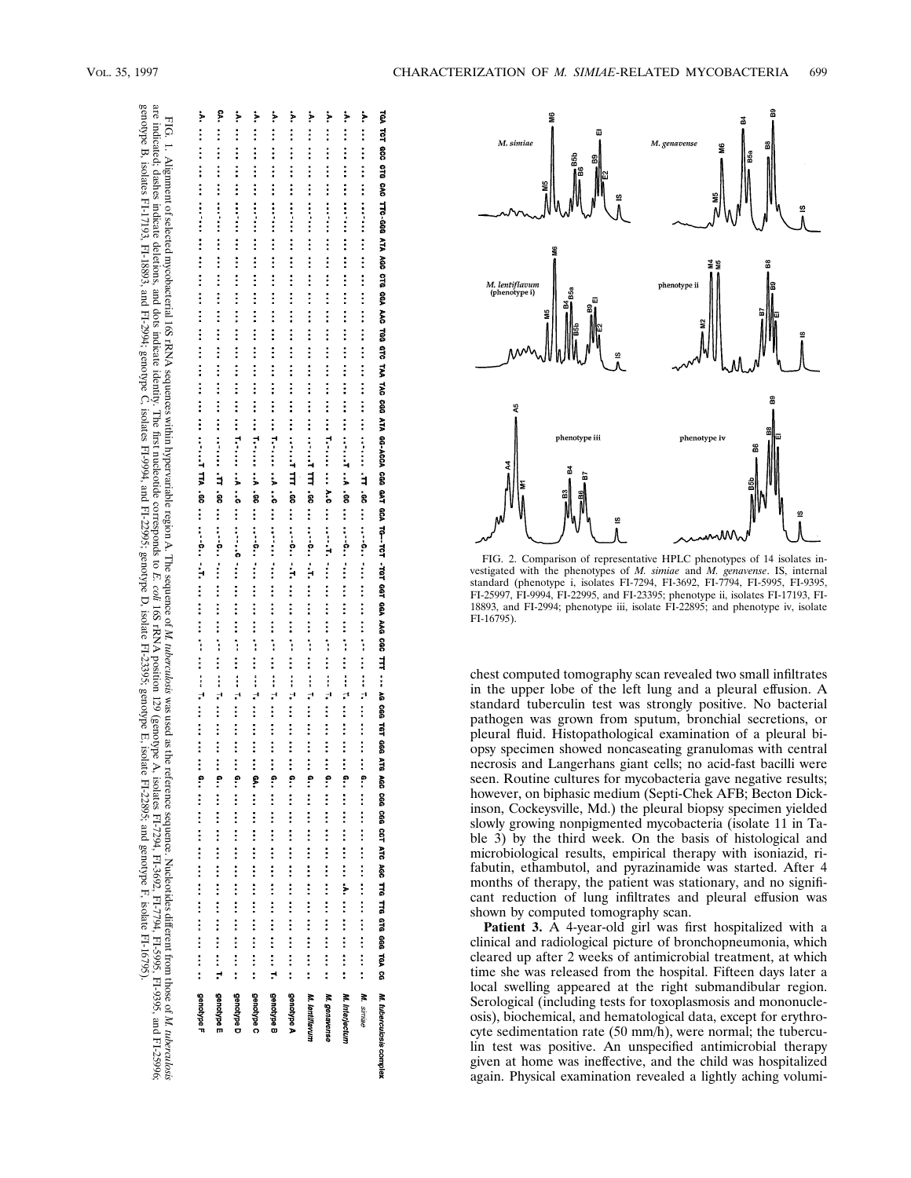FIG. 1. Alignment

are

genotype B,isolates

FI-17193,

FI-18893, and

FI-2994;

indicated; dashes

of selected

mycobacterial

indicate deletions, and dots

 16SrRNA

indicate

identity.

genotype C, isolates

 Thefirst sequences

within

hypervariable

nucleotide

FI-9994, and

FI-22995;

 genotype D,isolate

FI-23395;

 genotype E,isolate corresponds

 to *E. coli* 16SrRNA  region A.The

sequence of *M.*

 *tuberculosis*

was

position 129 (genotype

 A,isolates used as the

reference

sequence.

FI-7294,

FI-22895; and

 genotype F,isolate

FI-3692,

FI-7794,

FI-5995,

FI-16795).

FI-9395, and

FI-25996;

Nucleotides

different

 from those of *M.*

 *tuberculosis*

| de la propriétation de la propriétation de la propriétation de la propriétation de la propriétation de la propriétation de la propriétation de la propriétation de la propriétation de la propriétation de la propriétation de<br>ode international and an international and an international and There is a whole contract and an international and an international model<br>he seems to the third to the third the third the third the third the company to the third the third the third the third the third the third the third the third the third the third the third the third the third the third th<br>he seems to the third that the third the third the third the third of the third the seeds the third the third the third the third the third the third the third the seeds of the third the third the third the third the third<br>de de de la production de la production de la production de la production de la production de la production de la production de la production de la production de la production de la production de la production de la produc<br>and the statement of the statement of the statement of the statement of the statement of the statement of the statement of the statement of the statement of the statement of the statement of the statement of the statement<br>All the third to the third the third the third the third the third TIM 500 third of third the third the third Times that the third the third the third the third the third the third the third the third the third the third | and the simulation of the simulation of the simulation of the simulation and simulation of the simulation of the simulation of the simulation of the simulation of the simulation of the simulation of the simulation of the s |
|----------------------------------------------------------------------------------------------------------------------------------------------------------------------------------------------------------------------------------------------------------------------------------------------------------------------------------------------------------------------------------------------------------------------------------------------------------------------------------------------------------------------------------------------------------------------------------------------------------------------------------------------------------------------------------------------------------------------------------------------------------------------------------------------------------------------------------------------------------------------------------------------------------------------------------------------------------------------------------------------------------------------------------------------------------------------------------------------------------------------------------------------------------------------------------------------------------------------------------------------------------------------------------------------------------------------------------------------------------------------------------------------------------------------------------------------------------------------------------------------------------------------------------------------------|--------------------------------------------------------------------------------------------------------------------------------------------------------------------------------------------------------------------------------|
|                                                                                                                                                                                                                                                                                                                                                                                                                                                                                                                                                                                                                                                                                                                                                                                                                                                                                                                                                                                                                                                                                                                                                                                                                                                                                                                                                                                                                                                                                                                                                    |                                                                                                                                                                                                                                |
|                                                                                                                                                                                                                                                                                                                                                                                                                                                                                                                                                                                                                                                                                                                                                                                                                                                                                                                                                                                                                                                                                                                                                                                                                                                                                                                                                                                                                                                                                                                                                    |                                                                                                                                                                                                                                |
|                                                                                                                                                                                                                                                                                                                                                                                                                                                                                                                                                                                                                                                                                                                                                                                                                                                                                                                                                                                                                                                                                                                                                                                                                                                                                                                                                                                                                                                                                                                                                    |                                                                                                                                                                                                                                |
|                                                                                                                                                                                                                                                                                                                                                                                                                                                                                                                                                                                                                                                                                                                                                                                                                                                                                                                                                                                                                                                                                                                                                                                                                                                                                                                                                                                                                                                                                                                                                    |                                                                                                                                                                                                                                |
|                                                                                                                                                                                                                                                                                                                                                                                                                                                                                                                                                                                                                                                                                                                                                                                                                                                                                                                                                                                                                                                                                                                                                                                                                                                                                                                                                                                                                                                                                                                                                    |                                                                                                                                                                                                                                |
|                                                                                                                                                                                                                                                                                                                                                                                                                                                                                                                                                                                                                                                                                                                                                                                                                                                                                                                                                                                                                                                                                                                                                                                                                                                                                                                                                                                                                                                                                                                                                    |                                                                                                                                                                                                                                |
|                                                                                                                                                                                                                                                                                                                                                                                                                                                                                                                                                                                                                                                                                                                                                                                                                                                                                                                                                                                                                                                                                                                                                                                                                                                                                                                                                                                                                                                                                                                                                    |                                                                                                                                                                                                                                |



FIG. 2. Comparison of representative HPLC phenotypes of 14 isolates investigated with the phenotypes of *M. simiae* and *M. genavense*. IS, internal standard (phenotype i, isolates FI-7294, FI-3692, FI-7794, FI-5995, FI-9395, FI-25997, FI-9994, FI-22995, and FI-23395; phenotype ii, isolates FI-17193, FI-18893, and FI-2994; phenotype iii, isolate FI-22895; and phenotype iv, isolate FI-16795).

chest computed tomography scan revealed two small infiltrates in the upper lobe of the left lung and a pleural effusion. A standard tuberculin test was strongly positive. No bacterial pathogen was grown from sputum, bronchial secretions, or pleural fluid. Histopathological examination of a pleural biopsy specimen showed noncaseating granulomas with central necrosis and Langerhans giant cells; no acid-fast bacilli were seen. Routine cultures for mycobacteria gave negative results; however, on biphasic medium (Septi-Chek AFB; Becton Dickinson, Cockeysville, Md.) the pleural biopsy specimen yielded slowly growing nonpigmented mycobacteria (isolate 11 in Table 3) by the third week. On the basis of histological and microbiological results, empirical therapy with isoniazid, rifabutin, ethambutol, and pyrazinamide was started. After 4 months of therapy, the patient was stationary, and no significant reduction of lung infiltrates and pleural effusion was shown by computed tomography scan.

Patient 3. A 4-year-old girl was first hospitalized with a clinical and radiological picture of bronchopneumonia, which cleared up after 2 weeks of antimicrobial treatment, at which time she was released from the hospital. Fifteen days later a local swelling appeared at the right submandibular region. Serological (including tests for toxoplasmosis and mononucleosis), biochemical, and hematological data, except for erythrocyte sedimentation rate (50 mm/h), were normal; the tuberculin test was positive. An unspecified antimicrobial therapy given at home was ineffective, and the child was hospitalized again. Physical examination revealed a lightly aching volumi-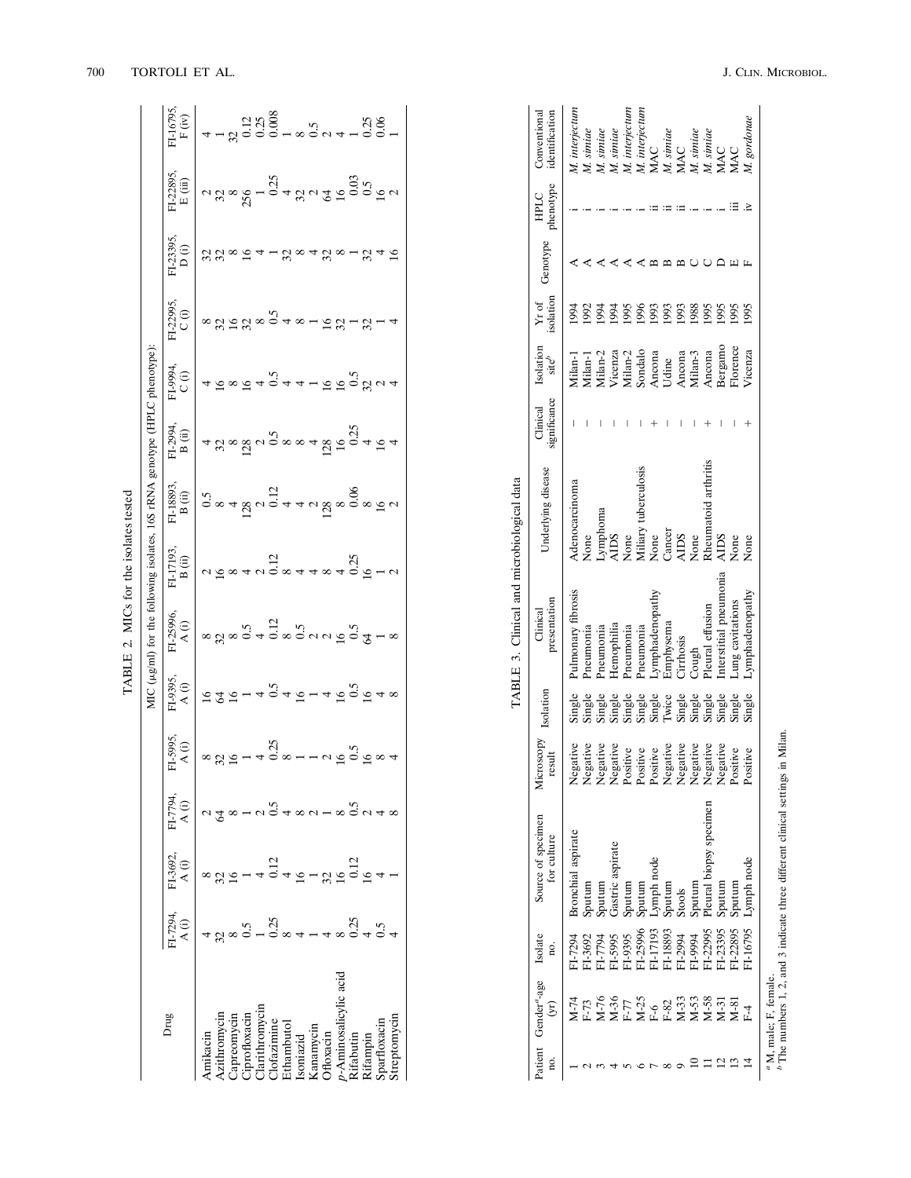|           |                                     |                                        |                                |                   | TABLE 2.                       |                                                                                                                                                                                                                                                                                                                                 | MICs for the                                                                                                                                                                                                                                                                                                         | solates tested                                                                                                                                                                                                                                                                                                                                     |                                                                                                                                                                                              |                   |                                                                                                                                                                                                                                                                                                                                 |                        |                            |                   |
|-----------|-------------------------------------|----------------------------------------|--------------------------------|-------------------|--------------------------------|---------------------------------------------------------------------------------------------------------------------------------------------------------------------------------------------------------------------------------------------------------------------------------------------------------------------------------|----------------------------------------------------------------------------------------------------------------------------------------------------------------------------------------------------------------------------------------------------------------------------------------------------------------------|----------------------------------------------------------------------------------------------------------------------------------------------------------------------------------------------------------------------------------------------------------------------------------------------------------------------------------------------------|----------------------------------------------------------------------------------------------------------------------------------------------------------------------------------------------|-------------------|---------------------------------------------------------------------------------------------------------------------------------------------------------------------------------------------------------------------------------------------------------------------------------------------------------------------------------|------------------------|----------------------------|-------------------|
|           |                                     |                                        |                                |                   | MIC (                          |                                                                                                                                                                                                                                                                                                                                 |                                                                                                                                                                                                                                                                                                                      |                                                                                                                                                                                                                                                                                                                                                    |                                                                                                                                                                                              |                   |                                                                                                                                                                                                                                                                                                                                 |                        |                            |                   |
| Drug      | I-7294,                             | FI-3692.<br>A(i)                       | $F1-7794,$<br>A (i)            | FI-5995,<br>A (i) | $\frac{1-9395}{A(i)}$          | $\begin{bmatrix} 1 & 0 & 0 & 0 \\ 0 & 0 & 0 & 0 \\ 0 & 0 & 0 & 0 \\ 0 & 0 & 0 & 0 \\ 0 & 0 & 0 & 0 \\ 0 & 0 & 0 & 0 \\ 0 & 0 & 0 & 0 \\ 0 & 0 & 0 & 0 \\ 0 & 0 & 0 & 0 \\ 0 & 0 & 0 & 0 \\ 0 & 0 & 0 & 0 \\ 0 & 0 & 0 & 0 \\ 0 & 0 & 0 & 0 \\ 0 & 0 & 0 & 0 \\ 0 & 0 & 0 & 0 \\ 0 & 0 & 0 & 0 \\ 0 & 0 & 0 & 0 \\ 0 & 0 & 0 & $ | $F_{\text{L}}$ $\frac{1}{2}$ $\frac{1}{2}$ $\frac{1}{2}$ $\frac{1}{2}$ $\frac{1}{2}$ $\frac{1}{2}$ $\frac{1}{2}$ $\frac{1}{2}$ $\frac{1}{2}$ $\frac{1}{2}$ $\frac{1}{2}$ $\frac{1}{2}$ $\frac{1}{2}$ $\frac{1}{2}$ $\frac{1}{2}$ $\frac{1}{2}$ $\frac{1}{2}$ $\frac{1}{2}$ $\frac{1}{2}$ $\frac{1}{2}$ $\frac{1}{2}$ | FLISSES,<br>$\frac{1}{2}$<br>$\frac{1}{2}$<br>$\frac{1}{2}$<br>$\frac{1}{2}$<br>$\frac{1}{2}$<br>$\frac{1}{2}$<br>$\frac{1}{2}$<br>$\frac{1}{2}$<br>$\frac{1}{2}$<br>$\frac{1}{2}$<br>$\frac{1}{2}$<br>$\frac{1}{2}$<br>$\frac{1}{2}$<br>$\frac{1}{2}$<br>$\frac{1}{2}$<br>$\frac{1}{2}$<br>$\frac{1}{2}$<br>$\frac{1}{2}$<br>$\frac{1}{2}$<br>$\$ | $F_{1295}^{1994}$<br>$F_{161}^{161}$<br>$F_{161}^{161}$<br>$F_{161}^{161}$<br>$F_{161}^{161}$<br>$F_{161}^{161}$<br>$F_{161}^{161}$<br>$F_{161}^{161}$<br>$F_{161}^{161}$<br>$F_{161}^{161}$ | $\overline{C(i)}$ | $\left.\frac{1}{2}$<br>$\frac{1}{2}$<br>$\frac{1}{2}$ $\frac{1}{2}$ $\frac{1}{2}$ $\frac{1}{2}$ $\frac{1}{2}$ $\frac{1}{2}$ $\frac{1}{2}$ $\frac{1}{2}$ $\frac{1}{2}$ $\frac{1}{2}$ $\frac{1}{2}$ $\frac{1}{2}$ $\frac{1}{2}$ $\frac{1}{2}$ $\frac{1}{2}$ $\frac{1}{2}$ $\frac{1}{2}$ $\frac{1}{2}$ $\frac{1}{2}$ $\frac{1}{2}$ | $\frac{123395}{D(i)}$  | $\frac{71-22895}{E (iii)}$ | 71-6795<br>F (iv) |
| E3GT      |                                     |                                        |                                |                   | $7272 - 40.5$<br>$7272 - 40.5$ |                                                                                                                                                                                                                                                                                                                                 |                                                                                                                                                                                                                                                                                                                      |                                                                                                                                                                                                                                                                                                                                                    |                                                                                                                                                                                              |                   |                                                                                                                                                                                                                                                                                                                                 | ~<br>83888541884881848 |                            |                   |
|           |                                     |                                        |                                |                   |                                |                                                                                                                                                                                                                                                                                                                                 |                                                                                                                                                                                                                                                                                                                      |                                                                                                                                                                                                                                                                                                                                                    |                                                                                                                                                                                              |                   |                                                                                                                                                                                                                                                                                                                                 |                        | $^{2}$ 3256 $^{1}$ 0.25    |                   |
|           |                                     |                                        |                                |                   |                                |                                                                                                                                                                                                                                                                                                                                 |                                                                                                                                                                                                                                                                                                                      |                                                                                                                                                                                                                                                                                                                                                    |                                                                                                                                                                                              |                   |                                                                                                                                                                                                                                                                                                                                 |                        |                            |                   |
|           |                                     |                                        |                                |                   |                                |                                                                                                                                                                                                                                                                                                                                 |                                                                                                                                                                                                                                                                                                                      |                                                                                                                                                                                                                                                                                                                                                    |                                                                                                                                                                                              |                   |                                                                                                                                                                                                                                                                                                                                 |                        |                            |                   |
| arith.    |                                     |                                        |                                |                   |                                |                                                                                                                                                                                                                                                                                                                                 |                                                                                                                                                                                                                                                                                                                      |                                                                                                                                                                                                                                                                                                                                                    |                                                                                                                                                                                              |                   |                                                                                                                                                                                                                                                                                                                                 |                        |                            |                   |
|           | n<br>2000 - 2004 - 400<br>2000 - 20 | $32 - 40$<br>$-40$<br>$-12$            | $2 \times 10$<br>$2 \times 10$ |                   |                                |                                                                                                                                                                                                                                                                                                                                 |                                                                                                                                                                                                                                                                                                                      |                                                                                                                                                                                                                                                                                                                                                    |                                                                                                                                                                                              |                   |                                                                                                                                                                                                                                                                                                                                 |                        |                            |                   |
| thambuto  |                                     |                                        |                                |                   |                                |                                                                                                                                                                                                                                                                                                                                 |                                                                                                                                                                                                                                                                                                                      |                                                                                                                                                                                                                                                                                                                                                    |                                                                                                                                                                                              |                   |                                                                                                                                                                                                                                                                                                                                 |                        |                            |                   |
| przeud    |                                     | $45 - 32$<br>$45 - 32$<br>$12$<br>$12$ | $4804 - 800448$                |                   |                                |                                                                                                                                                                                                                                                                                                                                 |                                                                                                                                                                                                                                                                                                                      |                                                                                                                                                                                                                                                                                                                                                    |                                                                                                                                                                                              |                   |                                                                                                                                                                                                                                                                                                                                 |                        |                            |                   |
| ianamycin |                                     |                                        |                                |                   |                                |                                                                                                                                                                                                                                                                                                                                 |                                                                                                                                                                                                                                                                                                                      |                                                                                                                                                                                                                                                                                                                                                    |                                                                                                                                                                                              |                   |                                                                                                                                                                                                                                                                                                                                 |                        |                            |                   |
| floxacin  |                                     |                                        |                                |                   |                                |                                                                                                                                                                                                                                                                                                                                 |                                                                                                                                                                                                                                                                                                                      |                                                                                                                                                                                                                                                                                                                                                    |                                                                                                                                                                                              |                   |                                                                                                                                                                                                                                                                                                                                 |                        |                            |                   |
|           |                                     |                                        |                                |                   |                                |                                                                                                                                                                                                                                                                                                                                 |                                                                                                                                                                                                                                                                                                                      |                                                                                                                                                                                                                                                                                                                                                    |                                                                                                                                                                                              |                   |                                                                                                                                                                                                                                                                                                                                 |                        |                            |                   |
|           | 0.364                               |                                        |                                |                   |                                |                                                                                                                                                                                                                                                                                                                                 |                                                                                                                                                                                                                                                                                                                      |                                                                                                                                                                                                                                                                                                                                                    |                                                                                                                                                                                              |                   |                                                                                                                                                                                                                                                                                                                                 |                        |                            |                   |
|           |                                     |                                        |                                |                   |                                |                                                                                                                                                                                                                                                                                                                                 |                                                                                                                                                                                                                                                                                                                      |                                                                                                                                                                                                                                                                                                                                                    |                                                                                                                                                                                              |                   |                                                                                                                                                                                                                                                                                                                                 |                        |                            |                   |
|           |                                     |                                        |                                |                   |                                |                                                                                                                                                                                                                                                                                                                                 |                                                                                                                                                                                                                                                                                                                      |                                                                                                                                                                                                                                                                                                                                                    |                                                                                                                                                                                              |                   |                                                                                                                                                                                                                                                                                                                                 |                        |                            |                   |
|           |                                     |                                        |                                |                   |                                |                                                                                                                                                                                                                                                                                                                                 |                                                                                                                                                                                                                                                                                                                      |                                                                                                                                                                                                                                                                                                                                                    |                                                                                                                                                                                              |                   |                                                                                                                                                                                                                                                                                                                                 |                        |                            |                   |

| 25.012           |
|------------------|
|                  |
| $\mathbf{1}$     |
|                  |
| $\sum_{i=1}^{n}$ |
|                  |
| TARIE 3          |
|                  |

|                                            | Conventional<br>identification       | <b>M.</b> interjectum | M. simiae | M. simiae           | M. simiae                                                                                                                                                                                                                            | M. interjectum | M. interjectur |                                                                | M. siniae<br>MAC |                  | M. simiae | M. simiae              |                        |                 | M. gordonae    |                       |
|--------------------------------------------|--------------------------------------|-----------------------|-----------|---------------------|--------------------------------------------------------------------------------------------------------------------------------------------------------------------------------------------------------------------------------------|----------------|----------------|----------------------------------------------------------------|------------------|------------------|-----------|------------------------|------------------------|-----------------|----------------|-----------------------|
|                                            |                                      |                       |           |                     |                                                                                                                                                                                                                                      |                |                | MAC                                                            |                  |                  |           |                        | MAC                    | MAC             |                |                       |
|                                            | phenotype<br>HPLC                    |                       |           |                     |                                                                                                                                                                                                                                      |                |                |                                                                |                  |                  |           |                        |                        |                 |                |                       |
|                                            | Genotype                             |                       |           |                     |                                                                                                                                                                                                                                      |                |                |                                                                |                  |                  |           |                        |                        |                 |                |                       |
|                                            | Yr of<br>isolation                   | $-994$                | 1992      | 994                 | 1994                                                                                                                                                                                                                                 | <b>1995</b>    | 1996           | 1993                                                           |                  | 5661<br>6661     | 1988      | 1995                   | 1995                   | 1995            | 1995           |                       |
| TABLE 3. Clinical and microbiological data | Isolation<br>$\text{site}^b$         | Jilan-1               | Vilan-1   |                     | Milan-2<br>Vicenza<br>Milan-2<br>Sondalo<br>Sondalo<br>Ancona<br>Udine<br>Ancona                                                                                                                                                     |                |                |                                                                |                  |                  |           | Ancona                 | Bergamo                | Florence        | 'icenza        |                       |
|                                            | significance<br>Clinical             |                       |           |                     |                                                                                                                                                                                                                                      |                |                |                                                                |                  |                  |           |                        |                        |                 |                |                       |
|                                            | Underlying disease                   | Adenocarcinoma        | None      |                     | Lymphoma<br>AIDS                                                                                                                                                                                                                     |                |                | None<br>Miliary tuberculosis<br>None<br>Cancer<br>AIDS<br>AIDS |                  |                  |           | Rheumatoid arthritis   | <b>AIDS</b>            | None            | None           |                       |
|                                            | presentation<br>Clinical             | Pulmonary fibrosis    | Pneumonia | Pneumonia           | Hemophilia                                                                                                                                                                                                                           | Pneumonia      | Pneumonia      | Lymphadenopathy                                                | <b>Emphysema</b> | <b>Tirrhosis</b> | Cough     | Pleural effusion       | Interstitial pneumonia | ung cavitations | ymphadenopathy |                       |
|                                            | Isolation                            |                       |           |                     | single single single single single single single single single single single single single single single singl<br>Single single single single single single single single single single single single single single single singl<br> |                |                |                                                                |                  |                  |           |                        |                        |                 |                |                       |
|                                            | rosopy<br>result<br>∖icr             | Negative              | Negative  |                     | Negative<br>Negative<br>Positive<br>Positive<br>Positive<br>Negative<br>Negative<br>Negative<br>Negative<br>Negative                                                                                                                 |                |                |                                                                |                  |                  |           |                        |                        |                 | Positive       |                       |
|                                            | Source of specimen<br>for culture    | Bronchial aspirate    | sputum    | putum               | Jastric aspirate                                                                                                                                                                                                                     | sputum         | Sputum         | ymph node                                                      | putun            | stools           | sputum    | leural biopsy specimen | sputum                 | Sputum          | -ymph node     |                       |
|                                            | Isolate<br>g.                        | FI-7294               | T-3692    | F644-I <sub>r</sub> | FI-5995                                                                                                                                                                                                                              | T-9395         | I-25996        | T-17193                                                        | T-18893          | $F1-2994$        | F666-I.   | T-22995                | $1 - 23395$            | 1-22895         | $1-16795$      |                       |
|                                            | atient Gender <sup>a</sup> -age<br>Ē | У-74<br>У             |           |                     | F.73<br>M-76<br>M-76<br>M-25<br>M-30<br>M-30<br>M-81<br>M-81<br>M-81<br>M-81<br>M-81                                                                                                                                                 |                |                |                                                                |                  |                  |           |                        |                        |                 | F <sub>1</sub> | " M, male; F, female. |
|                                            | ¤                                    |                       |           |                     |                                                                                                                                                                                                                                      |                |                |                                                                |                  |                  |           |                        |                        |                 |                |                       |

 $^a$  M, male; F, female. <br>  $\,$  and  $\,$  3 indicate three different clinical settings in Milan.  $^b$  The numbers 1, 2, and 3 indicate three different clinical settings in Milan. *b* The numbers 1, 2, and 3 indicate three different clinical settings in Milan.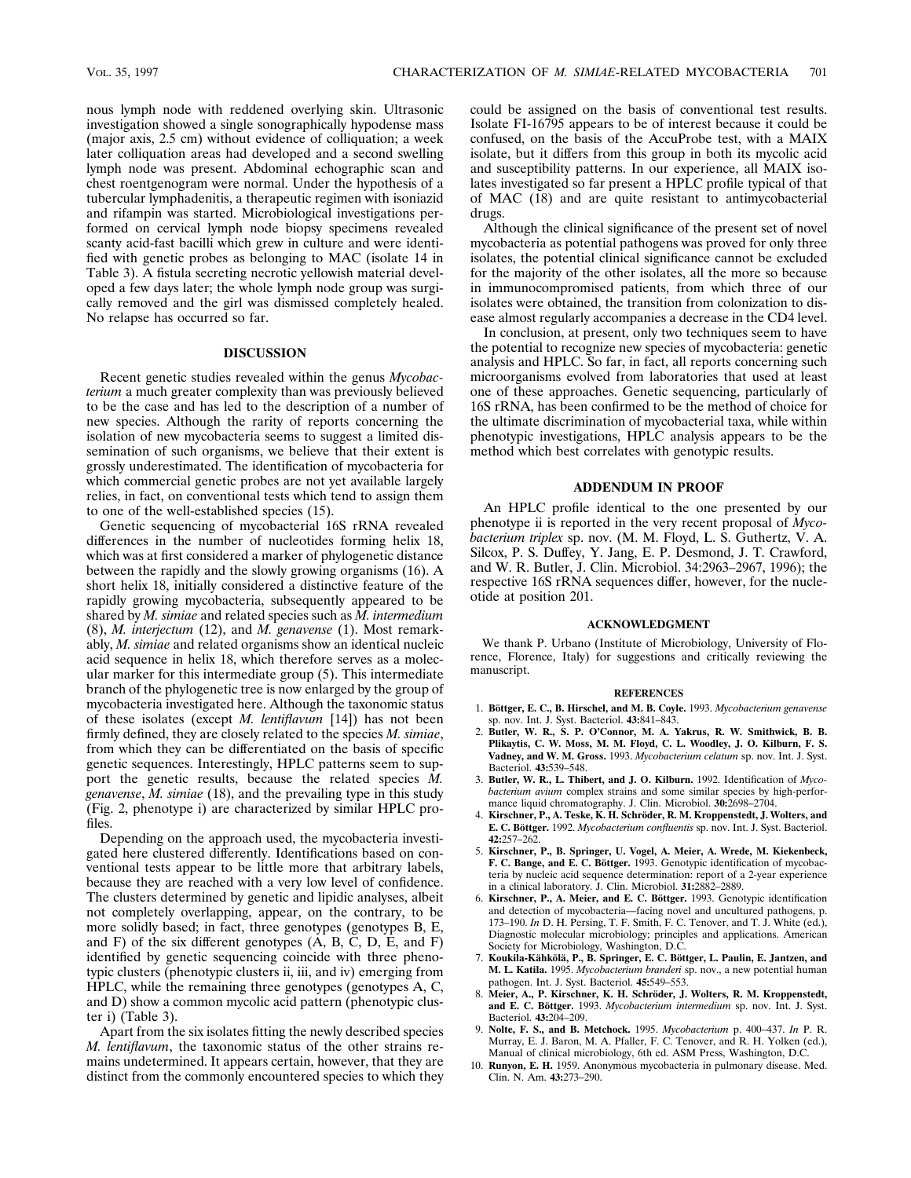nous lymph node with reddened overlying skin. Ultrasonic investigation showed a single sonographically hypodense mass (major axis, 2.5 cm) without evidence of colliquation; a week later colliquation areas had developed and a second swelling lymph node was present. Abdominal echographic scan and chest roentgenogram were normal. Under the hypothesis of a tubercular lymphadenitis, a therapeutic regimen with isoniazid and rifampin was started. Microbiological investigations performed on cervical lymph node biopsy specimens revealed scanty acid-fast bacilli which grew in culture and were identified with genetic probes as belonging to MAC (isolate 14 in Table 3). A fistula secreting necrotic yellowish material developed a few days later; the whole lymph node group was surgically removed and the girl was dismissed completely healed. No relapse has occurred so far.

# **DISCUSSION**

Recent genetic studies revealed within the genus *Mycobacterium* a much greater complexity than was previously believed to be the case and has led to the description of a number of new species. Although the rarity of reports concerning the isolation of new mycobacteria seems to suggest a limited dissemination of such organisms, we believe that their extent is grossly underestimated. The identification of mycobacteria for which commercial genetic probes are not yet available largely relies, in fact, on conventional tests which tend to assign them to one of the well-established species (15).

Genetic sequencing of mycobacterial 16S rRNA revealed differences in the number of nucleotides forming helix 18, which was at first considered a marker of phylogenetic distance between the rapidly and the slowly growing organisms (16). A short helix 18, initially considered a distinctive feature of the rapidly growing mycobacteria, subsequently appeared to be shared by *M. simiae* and related species such as *M. intermedium* (8), *M. interjectum* (12), and *M. genavense* (1). Most remarkably, *M. simiae* and related organisms show an identical nucleic acid sequence in helix 18, which therefore serves as a molecular marker for this intermediate group (5). This intermediate branch of the phylogenetic tree is now enlarged by the group of mycobacteria investigated here. Although the taxonomic status of these isolates (except *M. lentiflavum* [14]) has not been firmly defined, they are closely related to the species *M. simiae*, from which they can be differentiated on the basis of specific genetic sequences. Interestingly, HPLC patterns seem to support the genetic results, because the related species *M. genavense*, *M. simiae* (18), and the prevailing type in this study (Fig. 2, phenotype i) are characterized by similar HPLC profiles.

Depending on the approach used, the mycobacteria investigated here clustered differently. Identifications based on conventional tests appear to be little more that arbitrary labels, because they are reached with a very low level of confidence. The clusters determined by genetic and lipidic analyses, albeit not completely overlapping, appear, on the contrary, to be more solidly based; in fact, three genotypes (genotypes B, E, and F) of the six different genotypes (A, B, C, D, E, and F) identified by genetic sequencing coincide with three phenotypic clusters (phenotypic clusters ii, iii, and iv) emerging from HPLC, while the remaining three genotypes (genotypes A, C, and D) show a common mycolic acid pattern (phenotypic cluster i) (Table 3).

Apart from the six isolates fitting the newly described species *M. lentiflavum*, the taxonomic status of the other strains remains undetermined. It appears certain, however, that they are distinct from the commonly encountered species to which they could be assigned on the basis of conventional test results. Isolate FI-16795 appears to be of interest because it could be confused, on the basis of the AccuProbe test, with a MAIX isolate, but it differs from this group in both its mycolic acid and susceptibility patterns. In our experience, all MAIX isolates investigated so far present a HPLC profile typical of that of MAC (18) and are quite resistant to antimycobacterial drugs.

Although the clinical significance of the present set of novel mycobacteria as potential pathogens was proved for only three isolates, the potential clinical significance cannot be excluded for the majority of the other isolates, all the more so because in immunocompromised patients, from which three of our isolates were obtained, the transition from colonization to disease almost regularly accompanies a decrease in the CD4 level.

In conclusion, at present, only two techniques seem to have the potential to recognize new species of mycobacteria: genetic analysis and HPLC. So far, in fact, all reports concerning such microorganisms evolved from laboratories that used at least one of these approaches. Genetic sequencing, particularly of 16S rRNA, has been confirmed to be the method of choice for the ultimate discrimination of mycobacterial taxa, while within phenotypic investigations, HPLC analysis appears to be the method which best correlates with genotypic results.

#### **ADDENDUM IN PROOF**

An HPLC profile identical to the one presented by our phenotype ii is reported in the very recent proposal of *Mycobacterium triplex* sp. nov. (M. M. Floyd, L. S. Guthertz, V. A. Silcox, P. S. Duffey, Y. Jang, E. P. Desmond, J. T. Crawford, and W. R. Butler, J. Clin. Microbiol. 34:2963–2967, 1996); the respective 16S rRNA sequences differ, however, for the nucleotide at position 201.

### **ACKNOWLEDGMENT**

We thank P. Urbano (Institute of Microbiology, University of Florence, Florence, Italy) for suggestions and critically reviewing the manuscript.

#### **REFERENCES**

- 1. **Bo¨ttger, E. C., B. Hirschel, and M. B. Coyle.** 1993. *Mycobacterium genavense* sp. nov. Int. J. Syst. Bacteriol. **43:**841–843.
- 2. **Butler, W. R., S. P. O'Connor, M. A. Yakrus, R. W. Smithwick, B. B. Plikaytis, C. W. Moss, M. M. Floyd, C. L. Woodley, J. O. Kilburn, F. S. Vadney, and W. M. Gross.** 1993. *Mycobacterium celatum* sp. nov. Int. J. Syst. Bacteriol. **43:**539–548.
- 3. **Butler, W. R., L. Thibert, and J. O. Kilburn.** 1992. Identification of *Mycobacterium avium* complex strains and some similar species by high-performance liquid chromatography. J. Clin. Microbiol. **30:**2698–2704.
- 4. Kirschner, P., A. Teske, K. H. Schröder, R. M. Kroppenstedt, J. Wolters, and **E. C. Bo¨ttger.** 1992. *Mycobacterium confluentis* sp. nov. Int. J. Syst. Bacteriol. **42:**257–262.
- 5. **Kirschner, P., B. Springer, U. Vogel, A. Meier, A. Wrede, M. Kiekenbeck,** F. C. Bange, and E. C. Böttger. 1993. Genotypic identification of mycobacteria by nucleic acid sequence determination: report of a 2-year experience in a clinical laboratory. J. Clin. Microbiol. **31:**2882–2889.
- 6. Kirschner, P., A. Meier, and E. C. Böttger. 1993. Genotypic identification and detection of mycobacteria—facing novel and uncultured pathogens, p. 173–190. *In* D. H. Persing, T. F. Smith, F. C. Tenover, and T. J. White (ed.), Diagnostic molecular microbiology; principles and applications. American Society for Microbiology, Washington, D.C.
- 7. Koukila-Kähkölä, P., B. Springer, E. C. Böttger, L. Paulin, E. Jantzen, and **M. L. Katila.** 1995. *Mycobacterium branderi* sp. nov., a new potential human pathogen. Int. J. Syst. Bacteriol. **45:**549–553.
- 8. Meier, A., P. Kirschner, K. H. Schröder, J. Wolters, R. M. Kroppenstedt, and E. C. Böttger. 1993. *Mycobacterium intermedium* sp. nov. Int. J. Syst. Bacteriol. **43:**204–209.
- 9. **Nolte, F. S., and B. Metchock.** 1995. *Mycobacterium* p. 400–437. *In* P. R. Murray, E. J. Baron, M. A. Pfaller, F. C. Tenover, and R. H. Yolken (ed.), Manual of clinical microbiology, 6th ed. ASM Press, Washington, D.C.
- 10. **Runyon, E. H.** 1959. Anonymous mycobacteria in pulmonary disease. Med. Clin. N. Am. **43:**273–290.